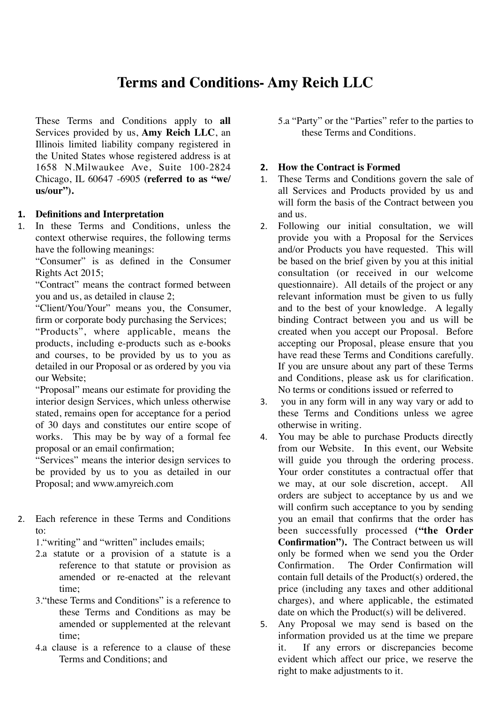# **Terms and Conditions- Amy Reich LLC**

These Terms and Conditions apply to **all**  Services provided by us, **Amy Reich LLC**, an Illinois limited liability company registered in the United States whose registered address is at 1658 N.Milwaukee Ave, Suite 100-2824 Chicago, IL 60647 -6905 **(referred to as "we/ us/our").** 

# **1. Definitions and Interpretation**

1. In these Terms and Conditions, unless the context otherwise requires, the following terms have the following meanings:

"Consumer" is as defined in the Consumer Rights Act 2015;

"Contract" means the contract formed between you and us, as detailed in clause 2;

"Client/You/Your" means you, the Consumer, firm or corporate body purchasing the Services; "Products", where applicable, means the products, including e-products such as e-books and courses, to be provided by us to you as detailed in our Proposal or as ordered by you via our Website;

"Proposal" means our estimate for providing the interior design Services, which unless otherwise stated, remains open for acceptance for a period of 30 days and constitutes our entire scope of works. This may be by way of a formal fee proposal or an email confirmation;

"Services" means the interior design services to be provided by us to you as detailed in our Proposal; and www.amyreich.com

2. Each reference in these Terms and Conditions  $t\Omega$ 

1."writing" and "written" includes emails;

- 2.a statute or a provision of a statute is a reference to that statute or provision as amended or re-enacted at the relevant time;
- 3."these Terms and Conditions" is a reference to these Terms and Conditions as may be amended or supplemented at the relevant time;
- 4.a clause is a reference to a clause of these Terms and Conditions; and

5.a "Party" or the "Parties" refer to the parties to these Terms and Conditions.

# **2. How the Contract is Formed**

- 1. These Terms and Conditions govern the sale of all Services and Products provided by us and will form the basis of the Contract between you and us.
- 2. Following our initial consultation, we will provide you with a Proposal for the Services and/or Products you have requested. This will be based on the brief given by you at this initial consultation (or received in our welcome questionnaire). All details of the project or any relevant information must be given to us fully and to the best of your knowledge. A legally binding Contract between you and us will be created when you accept our Proposal. Before accepting our Proposal, please ensure that you have read these Terms and Conditions carefully. If you are unsure about any part of these Terms and Conditions, please ask us for clarification. No terms or conditions issued or referred to
- 3. you in any form will in any way vary or add to these Terms and Conditions unless we agree otherwise in writing.
- 4. You may be able to purchase Products directly from our Website. In this event, our Website will guide you through the ordering process. Your order constitutes a contractual offer that we may, at our sole discretion, accept. All orders are subject to acceptance by us and we will confirm such acceptance to you by sending you an email that confirms that the order has been successfully processed **("the Order Confirmation").** The Contract between us will only be formed when we send you the Order Confirmation. The Order Confirmation will contain full details of the Product(s) ordered, the price (including any taxes and other additional charges), and where applicable, the estimated date on which the Product(s) will be delivered.
- 5. Any Proposal we may send is based on the information provided us at the time we prepare it. If any errors or discrepancies become evident which affect our price, we reserve the right to make adjustments to it.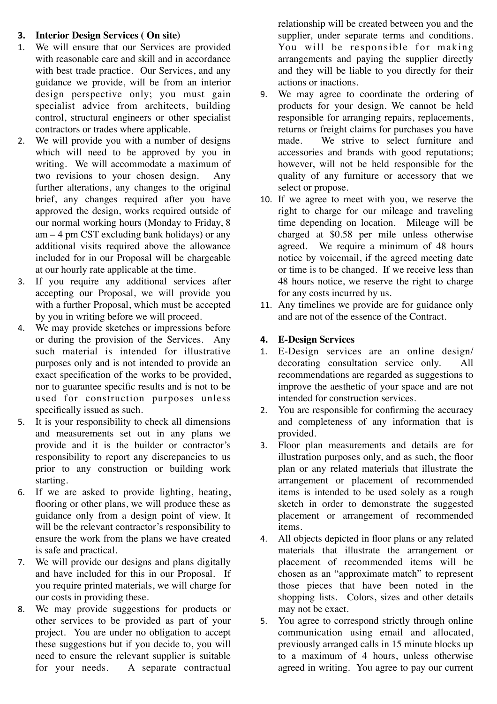# **3. Interior Design Services ( On site)**

- 1. We will ensure that our Services are provided with reasonable care and skill and in accordance with best trade practice. Our Services, and any guidance we provide, will be from an interior design perspective only; you must gain specialist advice from architects, building control, structural engineers or other specialist contractors or trades where applicable.
- 2. We will provide you with a number of designs which will need to be approved by you in writing. We will accommodate a maximum of two revisions to your chosen design. further alterations, any changes to the original brief, any changes required after you have approved the design, works required outside of our normal working hours (Monday to Friday, 8  $am - 4$  pm CST excluding bank holidays) or any additional visits required above the allowance included for in our Proposal will be chargeable at our hourly rate applicable at the time.
- 3. If you require any additional services after accepting our Proposal, we will provide you with a further Proposal, which must be accepted by you in writing before we will proceed.
- 4. We may provide sketches or impressions before or during the provision of the Services. Any such material is intended for illustrative purposes only and is not intended to provide an exact specification of the works to be provided, nor to guarantee specific results and is not to be used for construction purposes unless specifically issued as such.
- 5. It is your responsibility to check all dimensions and measurements set out in any plans we provide and it is the builder or contractor's responsibility to report any discrepancies to us prior to any construction or building work starting.
- 6. If we are asked to provide lighting, heating, flooring or other plans, we will produce these as guidance only from a design point of view. It will be the relevant contractor's responsibility to ensure the work from the plans we have created is safe and practical.
- 7. We will provide our designs and plans digitally and have included for this in our Proposal. If you require printed materials, we will charge for our costs in providing these.
- 8. We may provide suggestions for products or other services to be provided as part of your project. You are under no obligation to accept these suggestions but if you decide to, you will need to ensure the relevant supplier is suitable for your needs. A separate contractual

relationship will be created between you and the supplier, under separate terms and conditions. You will be responsible for making arrangements and paying the supplier directly and they will be liable to you directly for their actions or inactions.

- 9. We may agree to coordinate the ordering of products for your design. We cannot be held responsible for arranging repairs, replacements, returns or freight claims for purchases you have made. We strive to select furniture and accessories and brands with good reputations; however, will not be held responsible for the quality of any furniture or accessory that we select or propose.
- 10. If we agree to meet with you, we reserve the right to charge for our mileage and traveling time depending on location. Mileage will be charged at \$0.58 per mile unless otherwise agreed. We require a minimum of 48 hours notice by voicemail, if the agreed meeting date or time is to be changed. If we receive less than 48 hours notice, we reserve the right to charge for any costs incurred by us.
- 11. Any timelines we provide are for guidance only and are not of the essence of the Contract.

# **4. E-Design Services**

- 1. E-Design services are an online design/ decorating consultation service only. All recommendations are regarded as suggestions to improve the aesthetic of your space and are not intended for construction services.
- 2. You are responsible for confirming the accuracy and completeness of any information that is provided.
- 3. Floor plan measurements and details are for illustration purposes only, and as such, the floor plan or any related materials that illustrate the arrangement or placement of recommended items is intended to be used solely as a rough sketch in order to demonstrate the suggested placement or arrangement of recommended items.
- 4. All objects depicted in floor plans or any related materials that illustrate the arrangement or placement of recommended items will be chosen as an "approximate match" to represent those pieces that have been noted in the shopping lists. Colors, sizes and other details may not be exact.
- 5. You agree to correspond strictly through online communication using email and allocated, previously arranged calls in 15 minute blocks up to a maximum of 4 hours, unless otherwise agreed in writing. You agree to pay our current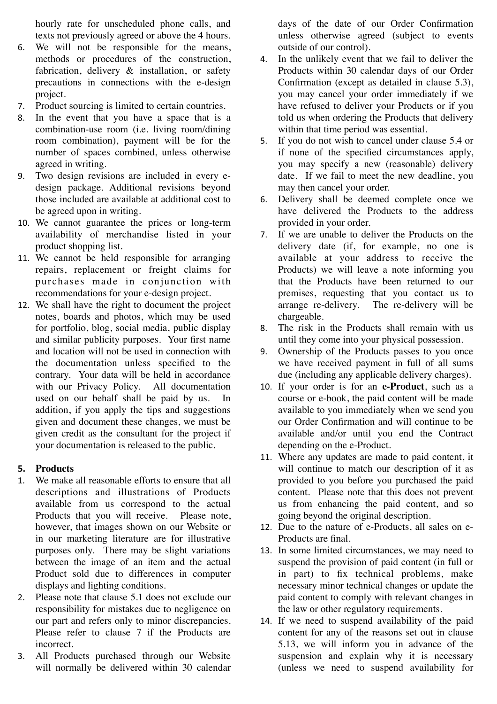hourly rate for unscheduled phone calls, and texts not previously agreed or above the 4 hours.

- 6. We will not be responsible for the means, methods or procedures of the construction, fabrication, delivery & installation, or safety precautions in connections with the e-design project.
- 7. Product sourcing is limited to certain countries.
- 8. In the event that you have a space that is a combination-use room (i.e. living room/dining room combination), payment will be for the number of spaces combined, unless otherwise agreed in writing.
- 9. Two design revisions are included in every edesign package. Additional revisions beyond those included are available at additional cost to be agreed upon in writing.
- 10. We cannot guarantee the prices or long-term availability of merchandise listed in your product shopping list.
- 11. We cannot be held responsible for arranging repairs, replacement or freight claims for purchases made in conjunction with recommendations for your e-design project.
- 12. We shall have the right to document the project notes, boards and photos, which may be used for portfolio, blog, social media, public display and similar publicity purposes. Your first name and location will not be used in connection with the documentation unless specified to the contrary. Your data will be held in accordance with our Privacy Policy. All documentation used on our behalf shall be paid by us. In addition, if you apply the tips and suggestions given and document these changes, we must be given credit as the consultant for the project if your documentation is released to the public.

# **5. Products**

- 1. We make all reasonable efforts to ensure that all descriptions and illustrations of Products available from us correspond to the actual Products that you will receive. Please note, however, that images shown on our Website or in our marketing literature are for illustrative purposes only. There may be slight variations between the image of an item and the actual Product sold due to differences in computer displays and lighting conditions.
- 2. Please note that clause 5.1 does not exclude our responsibility for mistakes due to negligence on our part and refers only to minor discrepancies. Please refer to clause 7 if the Products are incorrect.
- 3. All Products purchased through our Website will normally be delivered within 30 calendar

days of the date of our Order Confirmation unless otherwise agreed (subject to events outside of our control).

- 4. In the unlikely event that we fail to deliver the Products within 30 calendar days of our Order Confirmation (except as detailed in clause 5.3), you may cancel your order immediately if we have refused to deliver your Products or if you told us when ordering the Products that delivery within that time period was essential.
- 5. If you do not wish to cancel under clause 5.4 or if none of the specified circumstances apply, you may specify a new (reasonable) delivery date. If we fail to meet the new deadline, you may then cancel your order.
- 6. Delivery shall be deemed complete once we have delivered the Products to the address provided in your order.
- 7. If we are unable to deliver the Products on the delivery date (if, for example, no one is available at your address to receive the Products) we will leave a note informing you that the Products have been returned to our premises, requesting that you contact us to arrange re-delivery. The re-delivery will be chargeable.
- 8. The risk in the Products shall remain with us until they come into your physical possession.
- 9. Ownership of the Products passes to you once we have received payment in full of all sums due (including any applicable delivery charges).
- 10. If your order is for an **e-Product**, such as a course or e-book, the paid content will be made available to you immediately when we send you our Order Confirmation and will continue to be available and/or until you end the Contract depending on the e-Product.
- 11. Where any updates are made to paid content, it will continue to match our description of it as provided to you before you purchased the paid content. Please note that this does not prevent us from enhancing the paid content, and so going beyond the original description.
- 12. Due to the nature of e-Products, all sales on e-Products are final.
- 13. In some limited circumstances, we may need to suspend the provision of paid content (in full or in part) to fix technical problems, make necessary minor technical changes or update the paid content to comply with relevant changes in the law or other regulatory requirements.
- 14. If we need to suspend availability of the paid content for any of the reasons set out in clause 5.13, we will inform you in advance of the suspension and explain why it is necessary (unless we need to suspend availability for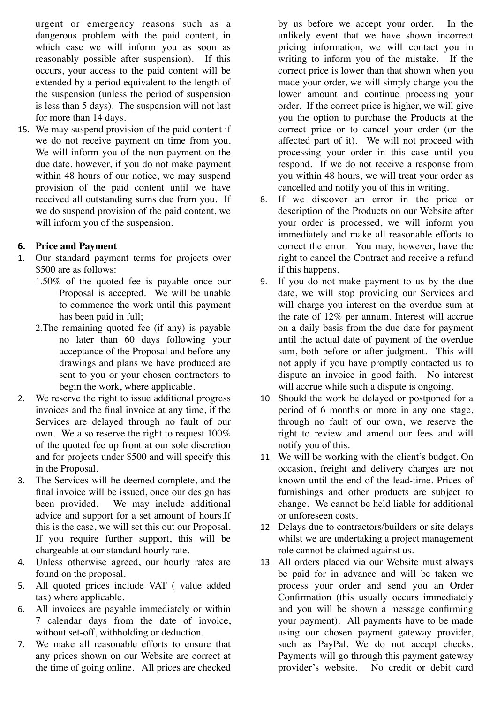urgent or emergency reasons such as a dangerous problem with the paid content, in which case we will inform you as soon as reasonably possible after suspension). If this occurs, your access to the paid content will be extended by a period equivalent to the length of the suspension (unless the period of suspension is less than 5 days). The suspension will not last for more than 14 days.

15. We may suspend provision of the paid content if we do not receive payment on time from you. We will inform you of the non-payment on the due date, however, if you do not make payment within 48 hours of our notice, we may suspend provision of the paid content until we have received all outstanding sums due from you. If we do suspend provision of the paid content, we will inform you of the suspension.

# **6. Price and Payment**

- 1. Our standard payment terms for projects over \$500 are as follows:
	- 1.50% of the quoted fee is payable once our Proposal is accepted. We will be unable to commence the work until this payment has been paid in full;
	- 2.The remaining quoted fee (if any) is payable no later than 60 days following your acceptance of the Proposal and before any drawings and plans we have produced are sent to you or your chosen contractors to begin the work, where applicable.
- 2. We reserve the right to issue additional progress invoices and the final invoice at any time, if the Services are delayed through no fault of our own. We also reserve the right to request 100% of the quoted fee up front at our sole discretion and for projects under \$500 and will specify this in the Proposal.
- 3. The Services will be deemed complete, and the final invoice will be issued, once our design has been provided. We may include additional advice and support for a set amount of hours.If this is the case, we will set this out our Proposal. If you require further support, this will be chargeable at our standard hourly rate.
- 4. Unless otherwise agreed, our hourly rates are found on the proposal.
- 5. All quoted prices include VAT ( value added tax) where applicable.
- 6. All invoices are payable immediately or within 7 calendar days from the date of invoice, without set-off, withholding or deduction.
- 7. We make all reasonable efforts to ensure that any prices shown on our Website are correct at the time of going online. All prices are checked

by us before we accept your order. In the unlikely event that we have shown incorrect pricing information, we will contact you in writing to inform you of the mistake. If the correct price is lower than that shown when you made your order, we will simply charge you the lower amount and continue processing your order. If the correct price is higher, we will give you the option to purchase the Products at the correct price or to cancel your order (or the affected part of it). We will not proceed with processing your order in this case until you respond. If we do not receive a response from you within 48 hours, we will treat your order as cancelled and notify you of this in writing.

- 8. If we discover an error in the price or description of the Products on our Website after your order is processed, we will inform you immediately and make all reasonable efforts to correct the error. You may, however, have the right to cancel the Contract and receive a refund if this happens.
- 9. If you do not make payment to us by the due date, we will stop providing our Services and will charge you interest on the overdue sum at the rate of 12% per annum. Interest will accrue on a daily basis from the due date for payment until the actual date of payment of the overdue sum, both before or after judgment. This will not apply if you have promptly contacted us to dispute an invoice in good faith. No interest will accrue while such a dispute is ongoing.
- 10. Should the work be delayed or postponed for a period of 6 months or more in any one stage, through no fault of our own, we reserve the right to review and amend our fees and will notify you of this.
- 11. We will be working with the client's budget. On occasion, freight and delivery charges are not known until the end of the lead-time. Prices of furnishings and other products are subject to change. We cannot be held liable for additional or unforeseen costs.
- 12. Delays due to contractors/builders or site delays whilst we are undertaking a project management role cannot be claimed against us.
- 13. All orders placed via our Website must always be paid for in advance and will be taken we process your order and send you an Order Confirmation (this usually occurs immediately and you will be shown a message confirming your payment). All payments have to be made using our chosen payment gateway provider, such as PayPal. We do not accept checks. Payments will go through this payment gateway provider's website. No credit or debit card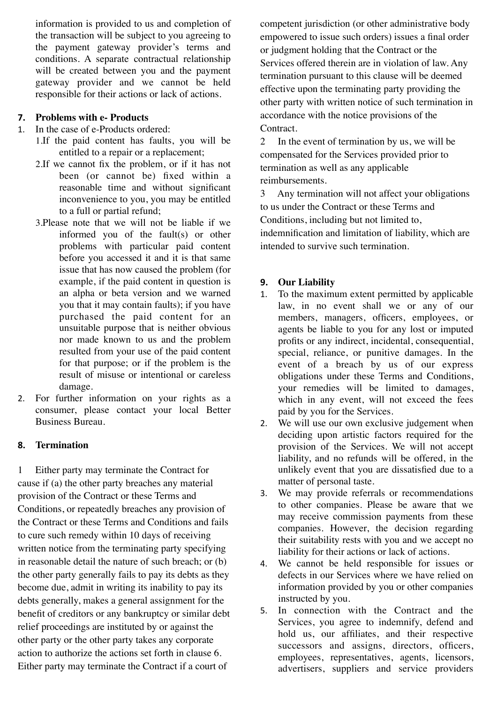information is provided to us and completion of the transaction will be subject to you agreeing to the payment gateway provider's terms and conditions. A separate contractual relationship will be created between you and the payment gateway provider and we cannot be held responsible for their actions or lack of actions.

#### **7. Problems with e- Products**

- 1. In the case of e-Products ordered:
	- 1.If the paid content has faults, you will be entitled to a repair or a replacement;
		- 2.If we cannot fix the problem, or if it has not been (or cannot be) fixed within a reasonable time and without significant inconvenience to you, you may be entitled to a full or partial refund;
		- 3.Please note that we will not be liable if we informed you of the fault(s) or other problems with particular paid content before you accessed it and it is that same issue that has now caused the problem (for example, if the paid content in question is an alpha or beta version and we warned you that it may contain faults); if you have purchased the paid content for an unsuitable purpose that is neither obvious nor made known to us and the problem resulted from your use of the paid content for that purpose; or if the problem is the result of misuse or intentional or careless damage.
- 2. For further information on your rights as a consumer, please contact your local Better Business Bureau.

# **8. Termination**

1 Either party may terminate the Contract for cause if (a) the other party breaches any material provision of the Contract or these Terms and Conditions, or repeatedly breaches any provision of the Contract or these Terms and Conditions and fails to cure such remedy within 10 days of receiving written notice from the terminating party specifying in reasonable detail the nature of such breach; or (b) the other party generally fails to pay its debts as they become due, admit in writing its inability to pay its debts generally, makes a general assignment for the benefit of creditors or any bankruptcy or similar debt relief proceedings are instituted by or against the other party or the other party takes any corporate action to authorize the actions set forth in clause 6. Either party may terminate the Contract if a court of

competent jurisdiction (or other administrative body empowered to issue such orders) issues a final order or judgment holding that the Contract or the Services offered therein are in violation of law. Any termination pursuant to this clause will be deemed effective upon the terminating party providing the other party with written notice of such termination in accordance with the notice provisions of the Contract.

2 In the event of termination by us, we will be compensated for the Services provided prior to termination as well as any applicable reimbursements.

3 Any termination will not affect your obligations to us under the Contract or these Terms and Conditions, including but not limited to,

indemnification and limitation of liability, which are intended to survive such termination.

# **9. Our Liability**

- 1. To the maximum extent permitted by applicable law, in no event shall we or any of our members, managers, officers, employees, or agents be liable to you for any lost or imputed profits or any indirect, incidental, consequential, special, reliance, or punitive damages. In the event of a breach by us of our express obligations under these Terms and Conditions, your remedies will be limited to damages, which in any event, will not exceed the fees paid by you for the Services.
- 2. We will use our own exclusive judgement when deciding upon artistic factors required for the provision of the Services. We will not accept liability, and no refunds will be offered, in the unlikely event that you are dissatisfied due to a matter of personal taste.
- 3. We may provide referrals or recommendations to other companies. Please be aware that we may receive commission payments from these companies. However, the decision regarding their suitability rests with you and we accept no liability for their actions or lack of actions.
- 4. We cannot be held responsible for issues or defects in our Services where we have relied on information provided by you or other companies instructed by you.
- 5. In connection with the Contract and the Services, you agree to indemnify, defend and hold us, our affiliates, and their respective successors and assigns, directors, officers, employees, representatives, agents, licensors, advertisers, suppliers and service providers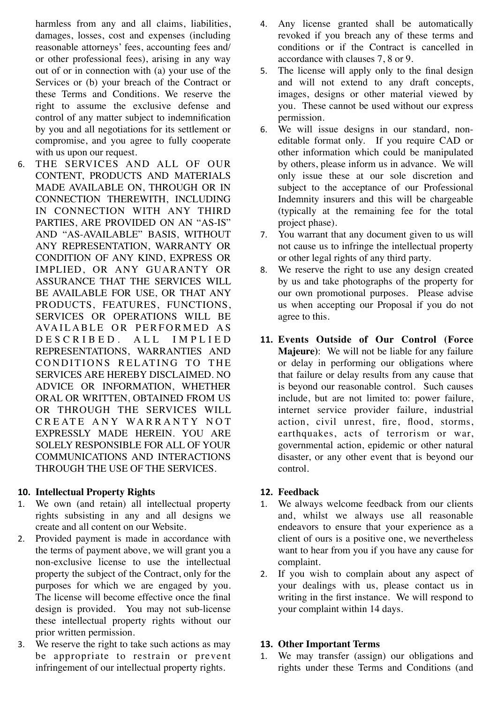harmless from any and all claims, liabilities, damages, losses, cost and expenses (including reasonable attorneys' fees, accounting fees and/ or other professional fees), arising in any way out of or in connection with (a) your use of the Services or (b) your breach of the Contract or these Terms and Conditions. We reserve the right to assume the exclusive defense and control of any matter subject to indemnification by you and all negotiations for its settlement or compromise, and you agree to fully cooperate with us upon our request.

6. THE SERVICES AND ALL OF OUR CONTENT, PRODUCTS AND MATERIALS MADE AVAILABLE ON, THROUGH OR IN CONNECTION THEREWITH, INCLUDING IN CONNECTION WITH ANY THIRD PARTIES, ARE PROVIDED ON AN "AS-IS" AND "AS-AVAILABLE" BASIS, WITHOUT ANY REPRESENTATION, WARRANTY OR CONDITION OF ANY KIND, EXPRESS OR IMPLIED, OR ANY GUARANTY OR ASSURANCE THAT THE SERVICES WILL BE AVAILABLE FOR USE, OR THAT ANY PRODUCTS, FEATURES, FUNCTIONS, SERVICES OR OPERATIONS WILL BE AVAILABLE OR PERFORMED AS D E S C R I B E D . A L L I M P L I E D REPRESENTATIONS, WARRANTIES AND CONDITIONS RELATING TO THE SERVICES ARE HEREBY DISCLAIMED. NO ADVICE OR INFORMATION, WHETHER ORAL OR WRITTEN, OBTAINED FROM US OR THROUGH THE SERVICES WILL CREATE ANY WARRANTY NOT EXPRESSLY MADE HEREIN. YOU ARE SOLELY RESPONSIBLE FOR ALL OF YOUR COMMUNICATIONS AND INTERACTIONS THROUGH THE USE OF THE SERVICES.

# **10. Intellectual Property Rights**

- 1. We own (and retain) all intellectual property rights subsisting in any and all designs we create and all content on our Website.
- 2. Provided payment is made in accordance with the terms of payment above, we will grant you a non-exclusive license to use the intellectual property the subject of the Contract, only for the purposes for which we are engaged by you. The license will become effective once the final design is provided. You may not sub-license these intellectual property rights without our prior written permission.
- 3. We reserve the right to take such actions as may be appropriate to restrain or prevent infringement of our intellectual property rights.
- 4. Any license granted shall be automatically revoked if you breach any of these terms and conditions or if the Contract is cancelled in accordance with clauses 7, 8 or 9.
- 5. The license will apply only to the final design and will not extend to any draft concepts, images, designs or other material viewed by you. These cannot be used without our express permission.
- 6. We will issue designs in our standard, noneditable format only. If you require CAD or other information which could be manipulated by others, please inform us in advance. We will only issue these at our sole discretion and subject to the acceptance of our Professional Indemnity insurers and this will be chargeable (typically at the remaining fee for the total project phase).
- 7. You warrant that any document given to us will not cause us to infringe the intellectual property or other legal rights of any third party.
- 8. We reserve the right to use any design created by us and take photographs of the property for our own promotional purposes. Please advise us when accepting our Proposal if you do not agree to this.
- **11. Events Outside of Our Control (Force Majeure)**: We will not be liable for any failure or delay in performing our obligations where that failure or delay results from any cause that is beyond our reasonable control. Such causes include, but are not limited to: power failure, internet service provider failure, industrial action, civil unrest, fire, flood, storms, earthquakes, acts of terrorism or war, governmental action, epidemic or other natural disaster, or any other event that is beyond our control.

# **12. Feedback**

- 1. We always welcome feedback from our clients and, whilst we always use all reasonable endeavors to ensure that your experience as a client of ours is a positive one, we nevertheless want to hear from you if you have any cause for complaint.
- 2. If you wish to complain about any aspect of your dealings with us, please contact us in writing in the first instance. We will respond to your complaint within 14 days.

# **13. Other Important Terms**

1. We may transfer (assign) our obligations and rights under these Terms and Conditions (and